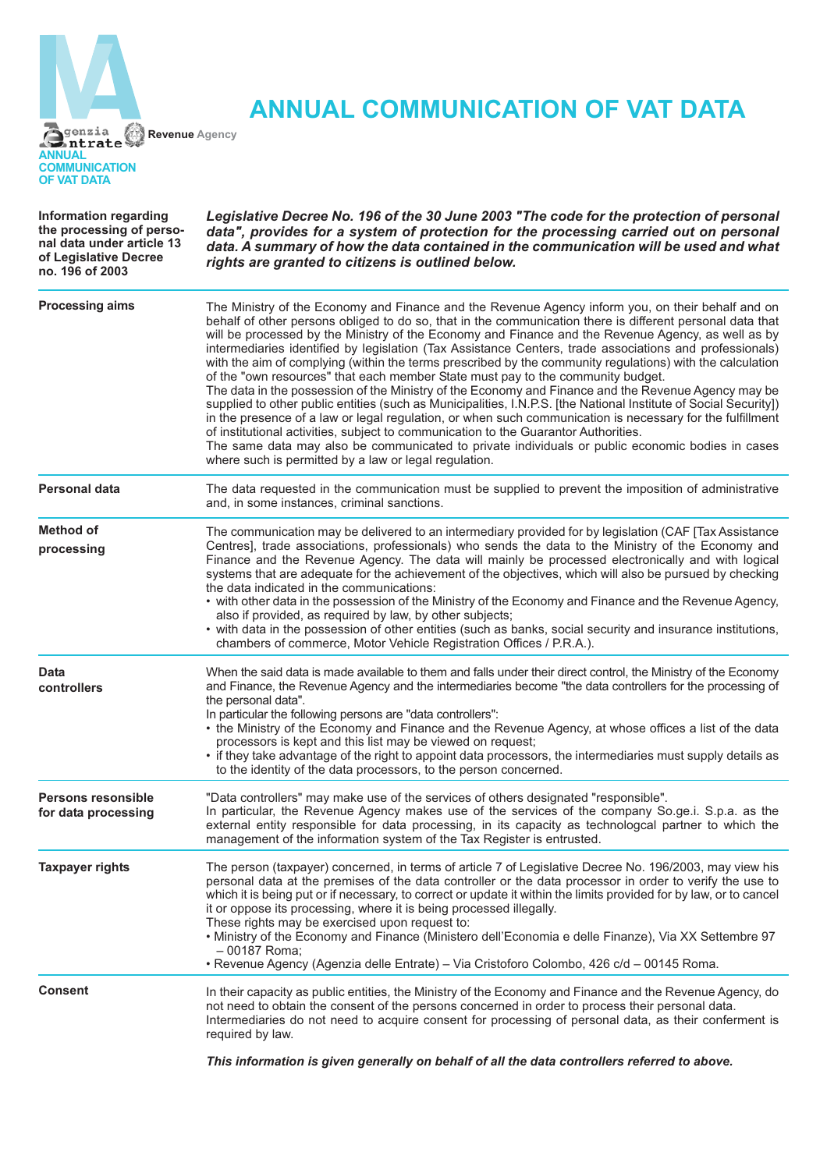

## **ANNUAL COMMUNICATION OF VAT DATA**

| <b>Information regarding</b><br>the processing of perso-<br>nal data under article 13<br>of Legislative Decree<br>no. 196 of 2003 | Legislative Decree No. 196 of the 30 June 2003 "The code for the protection of personal<br>data", provides for a system of protection for the processing carried out on personal<br>data. A summary of how the data contained in the communication will be used and what<br>rights are granted to citizens is outlined below.                                                                                                                                                                                                                                                                                                                                                                                                                                                                                                                                                                                                                                                                                                                                                                                                                                                                                               |
|-----------------------------------------------------------------------------------------------------------------------------------|-----------------------------------------------------------------------------------------------------------------------------------------------------------------------------------------------------------------------------------------------------------------------------------------------------------------------------------------------------------------------------------------------------------------------------------------------------------------------------------------------------------------------------------------------------------------------------------------------------------------------------------------------------------------------------------------------------------------------------------------------------------------------------------------------------------------------------------------------------------------------------------------------------------------------------------------------------------------------------------------------------------------------------------------------------------------------------------------------------------------------------------------------------------------------------------------------------------------------------|
| <b>Processing aims</b>                                                                                                            | The Ministry of the Economy and Finance and the Revenue Agency inform you, on their behalf and on<br>behalf of other persons obliged to do so, that in the communication there is different personal data that<br>will be processed by the Ministry of the Economy and Finance and the Revenue Agency, as well as by<br>intermediaries identified by legislation (Tax Assistance Centers, trade associations and professionals)<br>with the aim of complying (within the terms prescribed by the community regulations) with the calculation<br>of the "own resources" that each member State must pay to the community budget.<br>The data in the possession of the Ministry of the Economy and Finance and the Revenue Agency may be<br>supplied to other public entities (such as Municipalities, I.N.P.S. [the National Institute of Social Security])<br>in the presence of a law or legal regulation, or when such communication is necessary for the fulfillment<br>of institutional activities, subject to communication to the Guarantor Authorities.<br>The same data may also be communicated to private individuals or public economic bodies in cases<br>where such is permitted by a law or legal regulation. |
| <b>Personal data</b>                                                                                                              | The data requested in the communication must be supplied to prevent the imposition of administrative<br>and, in some instances, criminal sanctions.                                                                                                                                                                                                                                                                                                                                                                                                                                                                                                                                                                                                                                                                                                                                                                                                                                                                                                                                                                                                                                                                         |
| Method of<br>processing                                                                                                           | The communication may be delivered to an intermediary provided for by legislation (CAF [Tax Assistance<br>Centres], trade associations, professionals) who sends the data to the Ministry of the Economy and<br>Finance and the Revenue Agency. The data will mainly be processed electronically and with logical<br>systems that are adequate for the achievement of the objectives, which will also be pursued by checking<br>the data indicated in the communications:<br>• with other data in the possession of the Ministry of the Economy and Finance and the Revenue Agency,<br>also if provided, as required by law, by other subjects;<br>• with data in the possession of other entities (such as banks, social security and insurance institutions,<br>chambers of commerce, Motor Vehicle Registration Offices / P.R.A.).                                                                                                                                                                                                                                                                                                                                                                                       |
| <b>Data</b><br>controllers                                                                                                        | When the said data is made available to them and falls under their direct control, the Ministry of the Economy<br>and Finance, the Revenue Agency and the intermediaries become "the data controllers for the processing of<br>the personal data".<br>In particular the following persons are "data controllers":<br>• the Ministry of the Economy and Finance and the Revenue Agency, at whose offices a list of the data<br>processors is kept and this list may be viewed on request;<br>• if they take advantage of the right to appoint data processors, the intermediaries must supply details as<br>to the identity of the data processors, to the person concerned.                                                                                                                                                                                                                                                                                                                                                                                                                                                                                                                                                 |
| <b>Persons resonsible</b><br>for data processing                                                                                  | "Data controllers" may make use of the services of others designated "responsible".<br>In particular, the Revenue Agency makes use of the services of the company So.ge.i. S.p.a. as the<br>external entity responsible for data processing, in its capacity as technologcal partner to which the<br>management of the information system of the Tax Register is entrusted.                                                                                                                                                                                                                                                                                                                                                                                                                                                                                                                                                                                                                                                                                                                                                                                                                                                 |
| <b>Taxpayer rights</b>                                                                                                            | The person (taxpayer) concerned, in terms of article 7 of Legislative Decree No. 196/2003, may view his<br>personal data at the premises of the data controller or the data processor in order to verify the use to<br>which it is being put or if necessary, to correct or update it within the limits provided for by law, or to cancel<br>it or oppose its processing, where it is being processed illegally.<br>These rights may be exercised upon request to:<br>• Ministry of the Economy and Finance (Ministero dell'Economia e delle Finanze), Via XX Settembre 97<br>- 00187 Roma:<br>· Revenue Agency (Agenzia delle Entrate) - Via Cristoforo Colombo, 426 c/d - 00145 Roma.                                                                                                                                                                                                                                                                                                                                                                                                                                                                                                                                     |
| <b>Consent</b>                                                                                                                    | In their capacity as public entities, the Ministry of the Economy and Finance and the Revenue Agency, do<br>not need to obtain the consent of the persons concerned in order to process their personal data.<br>Intermediaries do not need to acquire consent for processing of personal data, as their conferment is<br>required by law.                                                                                                                                                                                                                                                                                                                                                                                                                                                                                                                                                                                                                                                                                                                                                                                                                                                                                   |

*This information is given generally on behalf of all the data controllers referred to above.*